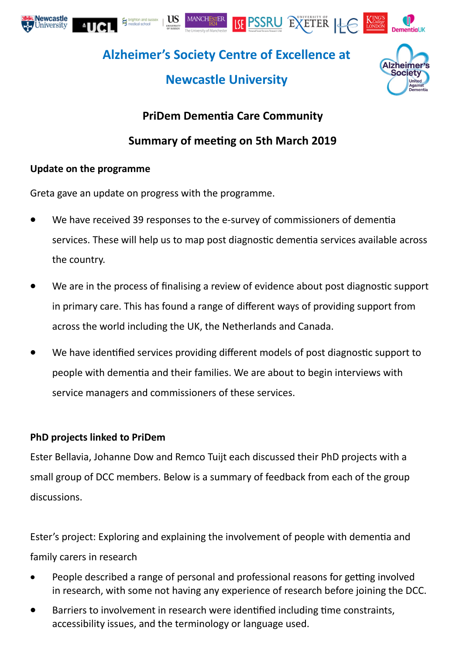







**Alzheimer's Society Centre of Excellence at** 

# **Newcastle University**



## **PriDem Dementia Care Community**

## **Summary of meeting on 5th March 2019**

### **Update on the programme**

Greta gave an update on progress with the programme.

- We have received 39 responses to the e-survey of commissioners of dementia services. These will help us to map post diagnostic dementia services available across the country.
- We are in the process of finalising a review of evidence about post diagnostic support in primary care. This has found a range of different ways of providing support from across the world including the UK, the Netherlands and Canada.
- We have identified services providing different models of post diagnostic support to people with dementia and their families. We are about to begin interviews with service managers and commissioners of these services.

### **PhD projects linked to PriDem**

Ester Bellavia, Johanne Dow and Remco Tuijt each discussed their PhD projects with a small group of DCC members. Below is a summary of feedback from each of the group discussions.

Ester's project: Exploring and explaining the involvement of people with dementia and family carers in research

- People described a range of personal and professional reasons for getting involved in research, with some not having any experience of research before joining the DCC.
- Barriers to involvement in research were identified including time constraints, accessibility issues, and the terminology or language used.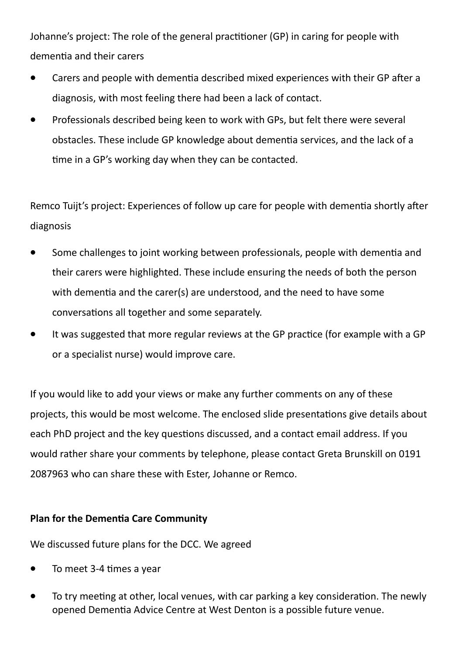Johanne's project: The role of the general practitioner (GP) in caring for people with dementia and their carers

- Carers and people with dementia described mixed experiences with their GP after a diagnosis, with most feeling there had been a lack of contact.
- Professionals described being keen to work with GPs, but felt there were several obstacles. These include GP knowledge about dementia services, and the lack of a time in a GP's working day when they can be contacted.

Remco Tuijt's project: Experiences of follow up care for people with dementia shortly after diagnosis

- Some challenges to joint working between professionals, people with dementia and their carers were highlighted. These include ensuring the needs of both the person with dementia and the carer(s) are understood, and the need to have some conversations all together and some separately.
- It was suggested that more regular reviews at the GP practice (for example with a GP or a specialist nurse) would improve care.

If you would like to add your views or make any further comments on any of these projects, this would be most welcome. The enclosed slide presentations give details about each PhD project and the key questions discussed, and a contact email address. If you would rather share your comments by telephone, please contact Greta Brunskill on 0191 2087963 who can share these with Ester, Johanne or Remco.

### **Plan for the Dementia Care Community**

We discussed future plans for the DCC. We agreed

- To meet 3-4 times a year
- To try meeting at other, local venues, with car parking a key consideration. The newly opened Dementia Advice Centre at West Denton is a possible future venue.